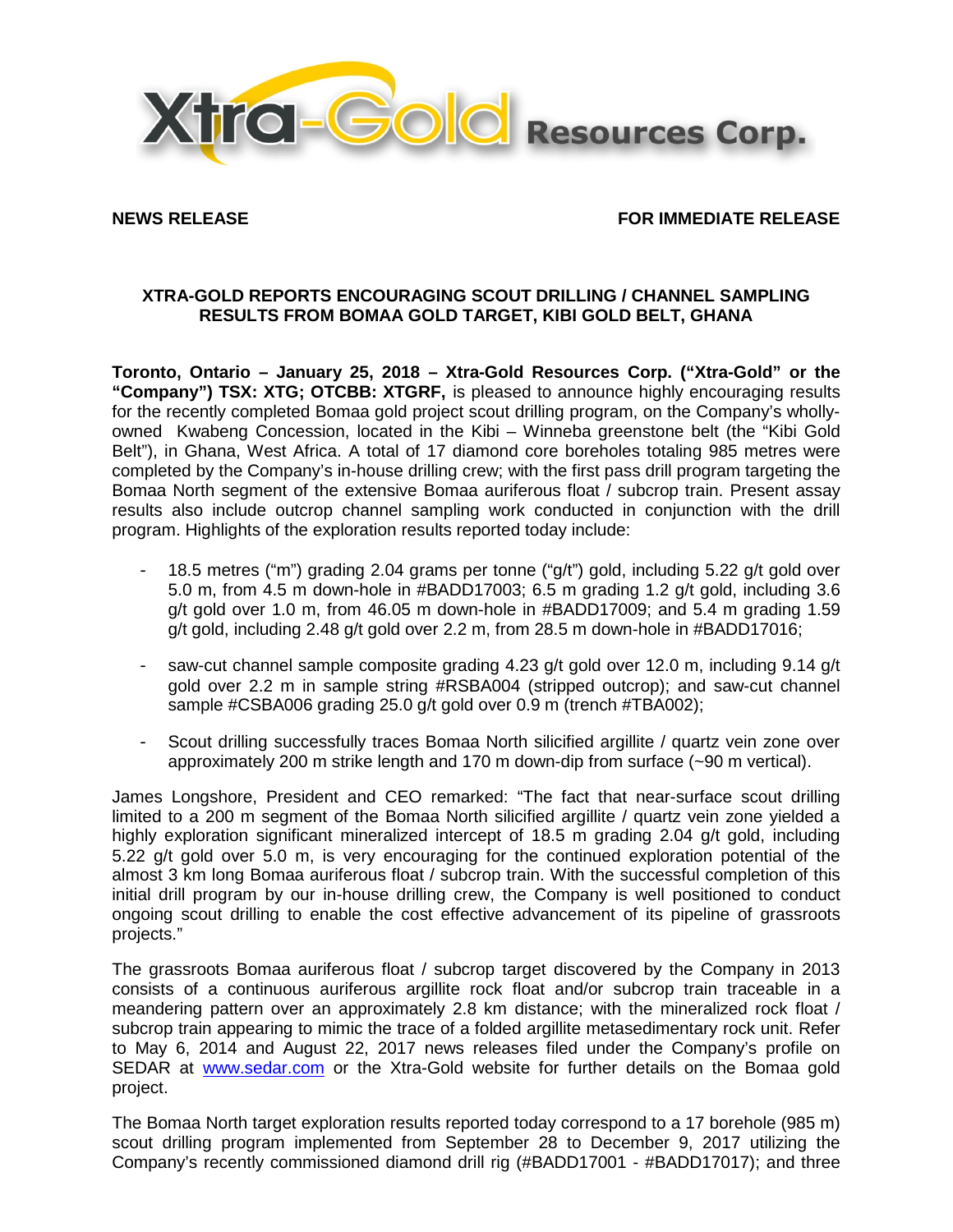

**NEWS RELEASE FOR IMMEDIATE RELEASE**

# **XTRA-GOLD REPORTS ENCOURAGING SCOUT DRILLING / CHANNEL SAMPLING RESULTS FROM BOMAA GOLD TARGET, KIBI GOLD BELT, GHANA**

**Toronto, Ontario – January 25, 2018 – Xtra-Gold Resources Corp. ("Xtra-Gold" or the "Company") TSX: XTG; OTCBB: XTGRF,** is pleased to announce highly encouraging results for the recently completed Bomaa gold project scout drilling program, on the Company's whollyowned Kwabeng Concession, located in the Kibi – Winneba greenstone belt (the "Kibi Gold Belt"), in Ghana, West Africa. A total of 17 diamond core boreholes totaling 985 metres were completed by the Company's in-house drilling crew; with the first pass drill program targeting the Bomaa North segment of the extensive Bomaa auriferous float / subcrop train. Present assay results also include outcrop channel sampling work conducted in conjunction with the drill program. Highlights of the exploration results reported today include:

- 18.5 metres ("m") grading 2.04 grams per tonne ("g/t") gold, including 5.22 g/t gold over 5.0 m, from 4.5 m down-hole in #BADD17003; 6.5 m grading 1.2 g/t gold, including 3.6 g/t gold over 1.0 m, from 46.05 m down-hole in #BADD17009; and 5.4 m grading 1.59 g/t gold, including 2.48 g/t gold over 2.2 m, from 28.5 m down-hole in #BADD17016;
- saw-cut channel sample composite grading 4.23 g/t gold over 12.0 m, including 9.14 g/t gold over 2.2 m in sample string #RSBA004 (stripped outcrop); and saw-cut channel sample #CSBA006 grading 25.0 g/t gold over 0.9 m (trench #TBA002);
- Scout drilling successfully traces Bomaa North silicified argillite / quartz vein zone over approximately 200 m strike length and 170 m down-dip from surface (~90 m vertical).

James Longshore, President and CEO remarked: "The fact that near-surface scout drilling limited to a 200 m segment of the Bomaa North silicified argillite / quartz vein zone yielded a highly exploration significant mineralized intercept of 18.5 m grading 2.04 g/t gold, including 5.22 g/t gold over 5.0 m, is very encouraging for the continued exploration potential of the almost 3 km long Bomaa auriferous float / subcrop train. With the successful completion of this initial drill program by our in-house drilling crew, the Company is well positioned to conduct ongoing scout drilling to enable the cost effective advancement of its pipeline of grassroots projects."

The grassroots Bomaa auriferous float / subcrop target discovered by the Company in 2013 consists of a continuous auriferous argillite rock float and/or subcrop train traceable in a meandering pattern over an approximately 2.8 km distance; with the mineralized rock float / subcrop train appearing to mimic the trace of a folded argillite metasedimentary rock unit. Refer to May 6, 2014 and August 22, 2017 news releases filed under the Company's profile on SEDAR at [www.sedar.com](http://www.sedar.com/) or the Xtra-Gold website for further details on the Bomaa gold project.

The Bomaa North target exploration results reported today correspond to a 17 borehole (985 m) scout drilling program implemented from September 28 to December 9, 2017 utilizing the Company's recently commissioned diamond drill rig (#BADD17001 - #BADD17017); and three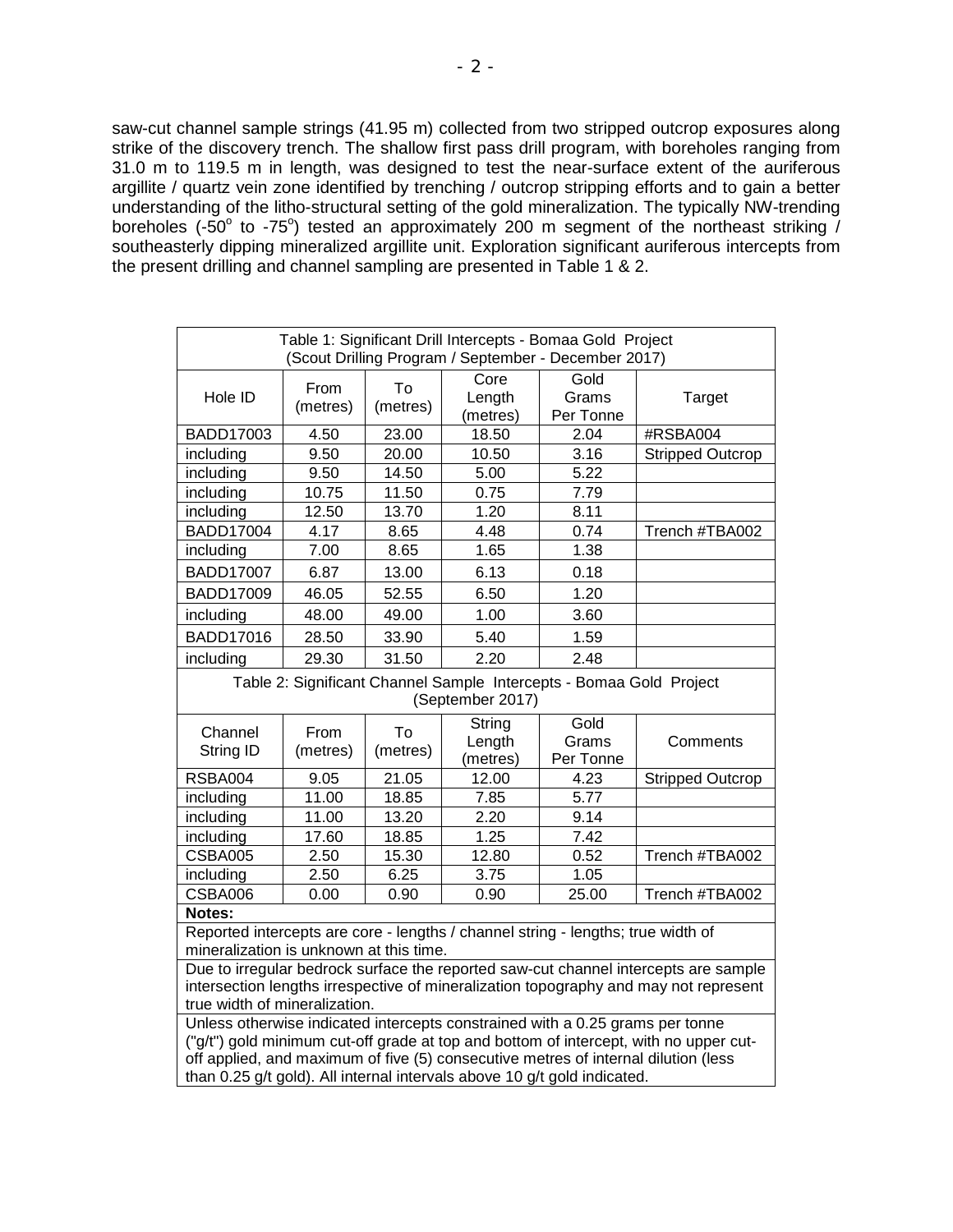saw-cut channel sample strings (41.95 m) collected from two stripped outcrop exposures along strike of the discovery trench. The shallow first pass drill program, with boreholes ranging from 31.0 m to 119.5 m in length, was designed to test the near-surface extent of the auriferous argillite / quartz vein zone identified by trenching / outcrop stripping efforts and to gain a better understanding of the litho-structural setting of the gold mineralization. The typically NW-trending boreholes (-50 $^{\circ}$  to -75 $^{\circ}$ ) tested an approximately 200 m segment of the northeast striking / southeasterly dipping mineralized argillite unit. Exploration significant auriferous intercepts from the present drilling and channel sampling are presented in Table 1 & 2.

| Table 1: Significant Drill Intercepts - Bomaa Gold Project<br>(Scout Drilling Program / September - December 2017)                                                                                                                                                                                                                       |                  |                |                              |                            |                         |
|------------------------------------------------------------------------------------------------------------------------------------------------------------------------------------------------------------------------------------------------------------------------------------------------------------------------------------------|------------------|----------------|------------------------------|----------------------------|-------------------------|
| Hole ID                                                                                                                                                                                                                                                                                                                                  | From<br>(metres) | To<br>(metres) | Core<br>Length<br>(metres)   | Gold<br>Grams<br>Per Tonne | Target                  |
| BADD17003                                                                                                                                                                                                                                                                                                                                | 4.50             | 23.00          | 18.50                        | 2.04                       | #RSBA004                |
| including                                                                                                                                                                                                                                                                                                                                | 9.50             | 20.00          | 10.50                        | 3.16                       | <b>Stripped Outcrop</b> |
| including                                                                                                                                                                                                                                                                                                                                | 9.50             | 14.50          | 5.00                         | 5.22                       |                         |
| including                                                                                                                                                                                                                                                                                                                                | 10.75            | 11.50          | 0.75                         | 7.79                       |                         |
| including                                                                                                                                                                                                                                                                                                                                | 12.50            | 13.70          | 1.20                         | 8.11                       |                         |
| <b>BADD17004</b>                                                                                                                                                                                                                                                                                                                         | 4.17             | 8.65           | 4.48                         | 0.74                       | Trench #TBA002          |
| including                                                                                                                                                                                                                                                                                                                                | 7.00             | 8.65           | 1.65                         | 1.38                       |                         |
| <b>BADD17007</b>                                                                                                                                                                                                                                                                                                                         | 6.87             | 13.00          | 6.13                         | 0.18                       |                         |
| <b>BADD17009</b>                                                                                                                                                                                                                                                                                                                         | 46.05            | 52.55          | 6.50                         | 1.20                       |                         |
| including                                                                                                                                                                                                                                                                                                                                | 48.00            | 49.00          | 1.00                         | 3.60                       |                         |
| <b>BADD17016</b>                                                                                                                                                                                                                                                                                                                         | 28.50            | 33.90          | 5.40                         | 1.59                       |                         |
| including                                                                                                                                                                                                                                                                                                                                | 29.30            | 31.50          | 2.20                         | 2.48                       |                         |
| Table 2: Significant Channel Sample Intercepts - Bomaa Gold Project<br>(September 2017)                                                                                                                                                                                                                                                  |                  |                |                              |                            |                         |
| Channel<br>String ID                                                                                                                                                                                                                                                                                                                     | From<br>(metres) | To<br>(metres) | String<br>Length<br>(metres) | Gold<br>Grams<br>Per Tonne | Comments                |
| <b>RSBA004</b>                                                                                                                                                                                                                                                                                                                           | 9.05             | 21.05          | 12.00                        | 4.23                       | <b>Stripped Outcrop</b> |
| including                                                                                                                                                                                                                                                                                                                                | 11.00            | 18.85          | 7.85                         | 5.77                       |                         |
| including                                                                                                                                                                                                                                                                                                                                | 11.00            | 13.20          | 2.20                         | 9.14                       |                         |
| including                                                                                                                                                                                                                                                                                                                                | 17.60            | 18.85          | 1.25                         | 7.42                       |                         |
| <b>CSBA005</b>                                                                                                                                                                                                                                                                                                                           | 2.50             | 15.30          | 12.80                        | 0.52                       | Trench #TBA002          |
| including                                                                                                                                                                                                                                                                                                                                | 2.50             | 6.25           | 3.75                         | 1.05                       |                         |
| CSBA006                                                                                                                                                                                                                                                                                                                                  | 0.00             | 0.90           | 0.90                         | 25.00                      | Trench #TBA002          |
| Notes:                                                                                                                                                                                                                                                                                                                                   |                  |                |                              |                            |                         |
| Reported intercepts are core - lengths / channel string - lengths; true width of<br>mineralization is unknown at this time.                                                                                                                                                                                                              |                  |                |                              |                            |                         |
| Due to irregular bedrock surface the reported saw-cut channel intercepts are sample<br>intersection lengths irrespective of mineralization topography and may not represent<br>true width of mineralization.                                                                                                                             |                  |                |                              |                            |                         |
| Unless otherwise indicated intercepts constrained with a 0.25 grams per tonne<br>("g/t") gold minimum cut-off grade at top and bottom of intercept, with no upper cut-<br>off applied, and maximum of five (5) consecutive metres of internal dilution (less<br>than 0.25 g/t gold). All internal intervals above 10 g/t gold indicated. |                  |                |                              |                            |                         |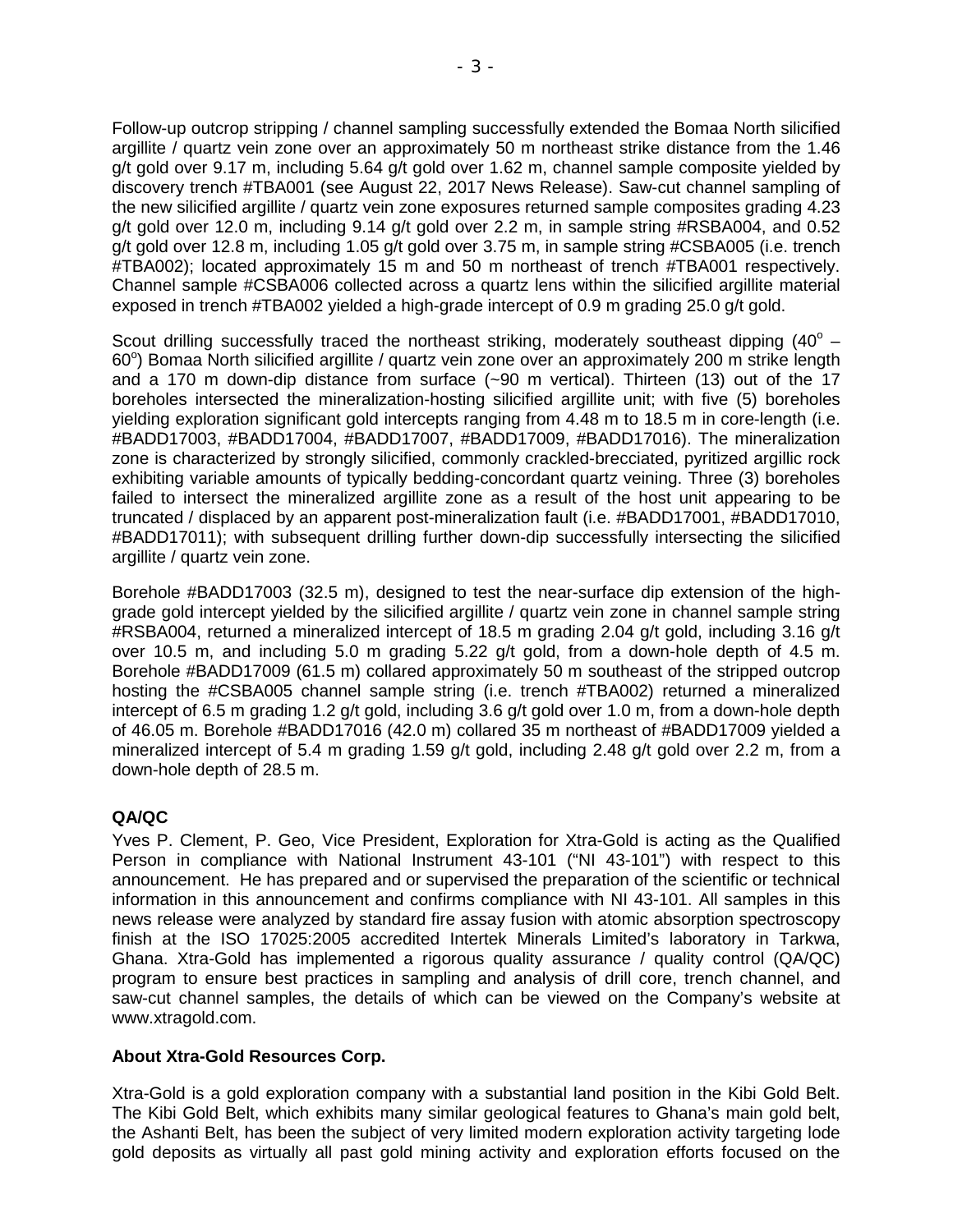Follow-up outcrop stripping / channel sampling successfully extended the Bomaa North silicified argillite / quartz vein zone over an approximately 50 m northeast strike distance from the 1.46 g/t gold over 9.17 m, including 5.64 g/t gold over 1.62 m, channel sample composite yielded by discovery trench #TBA001 (see August 22, 2017 News Release). Saw-cut channel sampling of the new silicified argillite / quartz vein zone exposures returned sample composites grading 4.23 g/t gold over 12.0 m, including 9.14 g/t gold over 2.2 m, in sample string #RSBA004, and 0.52 g/t gold over 12.8 m, including 1.05 g/t gold over 3.75 m, in sample string #CSBA005 (i.e. trench #TBA002); located approximately 15 m and 50 m northeast of trench #TBA001 respectively. Channel sample #CSBA006 collected across a quartz lens within the silicified argillite material exposed in trench #TBA002 yielded a high-grade intercept of 0.9 m grading 25.0 g/t gold.

Scout drilling successfully traced the northeast striking, moderately southeast dipping  $(40^{\circ} -$ 60°) Bomaa North silicified argillite / quartz vein zone over an approximately 200 m strike length and a 170 m down-dip distance from surface (~90 m vertical). Thirteen (13) out of the 17 boreholes intersected the mineralization-hosting silicified argillite unit; with five (5) boreholes yielding exploration significant gold intercepts ranging from 4.48 m to 18.5 m in core-length (i.e. #BADD17003, #BADD17004, #BADD17007, #BADD17009, #BADD17016). The mineralization zone is characterized by strongly silicified, commonly crackled-brecciated, pyritized argillic rock exhibiting variable amounts of typically bedding-concordant quartz veining. Three (3) boreholes failed to intersect the mineralized argillite zone as a result of the host unit appearing to be truncated / displaced by an apparent post-mineralization fault (i.e. #BADD17001, #BADD17010, #BADD17011); with subsequent drilling further down-dip successfully intersecting the silicified argillite / quartz vein zone.

Borehole #BADD17003 (32.5 m), designed to test the near-surface dip extension of the highgrade gold intercept yielded by the silicified argillite / quartz vein zone in channel sample string #RSBA004, returned a mineralized intercept of 18.5 m grading 2.04 g/t gold, including 3.16 g/t over 10.5 m, and including 5.0 m grading 5.22 g/t gold, from a down-hole depth of 4.5 m. Borehole #BADD17009 (61.5 m) collared approximately 50 m southeast of the stripped outcrop hosting the #CSBA005 channel sample string (i.e. trench #TBA002) returned a mineralized intercept of 6.5 m grading 1.2 g/t gold, including 3.6 g/t gold over 1.0 m, from a down-hole depth of 46.05 m. Borehole #BADD17016 (42.0 m) collared 35 m northeast of #BADD17009 yielded a mineralized intercept of 5.4 m grading 1.59 g/t gold, including 2.48 g/t gold over 2.2 m, from a down-hole depth of 28.5 m.

## **QA/QC**

Yves P. Clement, P. Geo, Vice President, Exploration for Xtra-Gold is acting as the Qualified Person in compliance with National Instrument 43-101 ("NI 43-101") with respect to this announcement. He has prepared and or supervised the preparation of the scientific or technical information in this announcement and confirms compliance with NI 43-101. All samples in this news release were analyzed by standard fire assay fusion with atomic absorption spectroscopy finish at the ISO 17025:2005 accredited Intertek Minerals Limited's laboratory in Tarkwa, Ghana. Xtra-Gold has implemented a rigorous quality assurance / quality control (QA/QC) program to ensure best practices in sampling and analysis of drill core, trench channel, and saw-cut channel samples, the details of which can be viewed on the Company's website at [www.xtragold.com.](http://www.xtragold.com/)

## **About Xtra-Gold Resources Corp.**

Xtra-Gold is a gold exploration company with a substantial land position in the Kibi Gold Belt. The Kibi Gold Belt, which exhibits many similar geological features to Ghana's main gold belt, the Ashanti Belt, has been the subject of very limited modern exploration activity targeting lode gold deposits as virtually all past gold mining activity and exploration efforts focused on the